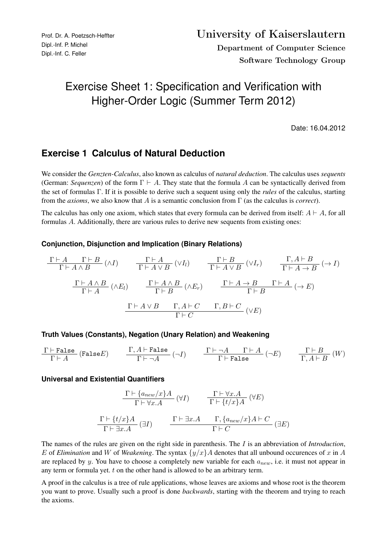# Exercise Sheet 1: Specification and Verification with Higher-Order Logic (Summer Term 2012)

Date: 16.04.2012

## **Exercise 1 Calculus of Natural Deduction**

We consider the *Genzten-Calculus*, also known as calculus of *natural deduction*. The calculus uses *sequents* (German: *Sequenzen*) of the form  $\Gamma \vdash A$ . They state that the formula A can be syntactically derived from the set of formulas Γ. If it is possible to derive such a sequent using only the *rules* of the calculus, starting from the *axioms*, we also know that A is a semantic conclusion from Γ (as the calculus is *correct*).

The calculus has only one axiom, which states that every formula can be derived from itself:  $A \vdash A$ , for all formulas A. Additionally, there are various rules to derive new sequents from existing ones:

#### **Conjunction, Disjunction and Implication (Binary Relations)**

$$
\frac{\Gamma \vdash A \qquad \Gamma \vdash B}{\Gamma \vdash A \land B} (\land I) \qquad \frac{\Gamma \vdash A}{\Gamma \vdash A \lor B} (\lor I_l) \qquad \frac{\Gamma \vdash B}{\Gamma \vdash A \lor B} (\lor I_r) \qquad \frac{\Gamma, A \vdash B}{\Gamma \vdash A \to B} (\to I)
$$
\n
$$
\frac{\Gamma \vdash A \land B}{\Gamma \vdash A} (\land E_l) \qquad \frac{\Gamma \vdash A \land B}{\Gamma \vdash B} (\land E_r) \qquad \frac{\Gamma \vdash A \to B \qquad \Gamma \vdash A}{\Gamma \vdash B} (\to E)
$$
\n
$$
\frac{\Gamma \vdash A \lor B \qquad \Gamma, A \vdash C \qquad \Gamma, B \vdash C}{\Gamma \vdash C} (\lor E)
$$

#### **Truth Values (Constants), Negation (Unary Relation) and Weakening**

$$
\frac{\Gamma\vdash \texttt{False}}{\Gamma\vdash A}\ (\texttt{False}\, E) \qquad \frac{\Gamma, A\vdash \texttt{False}}{\Gamma\vdash \neg A}\ (\neg I) \qquad \frac{\Gamma\vdash \neg A\qquad \Gamma\vdash A}{\Gamma\vdash \texttt{False}}\ (\neg E) \qquad \frac{\Gamma\vdash B}{\Gamma, A\vdash B}\ (W)
$$

#### **Universal and Existential Quantifiers**

$$
\frac{\Gamma \vdash \{a_{new}/x\}A}{\Gamma \vdash \forall x.A} \quad (\forall I) \qquad \frac{\Gamma \vdash \forall x.A}{\Gamma \vdash \{t/x\}A} \quad (\forall E)
$$
\n
$$
\frac{\Gamma \vdash \{t/x\}A}{\Gamma \vdash \exists x.A} \quad (\exists I) \qquad \frac{\Gamma \vdash \exists x.A \qquad \Gamma, \{a_{new}/x\}A \vdash C}{\Gamma \vdash C} \quad (\exists E)
$$

The names of the rules are given on the right side in parenthesis. The I is an abbreviation of *Introduction*, E of *Elimination* and W of *Weakening*. The syntax  $\{y/x\}$  A denotes that all unbound occurences of x in A are replaced by y. You have to choose a completely new variable for each  $a_{new}$ , i.e. it must not appear in any term or formula yet. t on the other hand is allowed to be an arbitrary term.

A proof in the calculus is a tree of rule applications, whose leaves are axioms and whose root is the theorem you want to prove. Usually such a proof is done *backwards*, starting with the theorem and trying to reach the axioms.